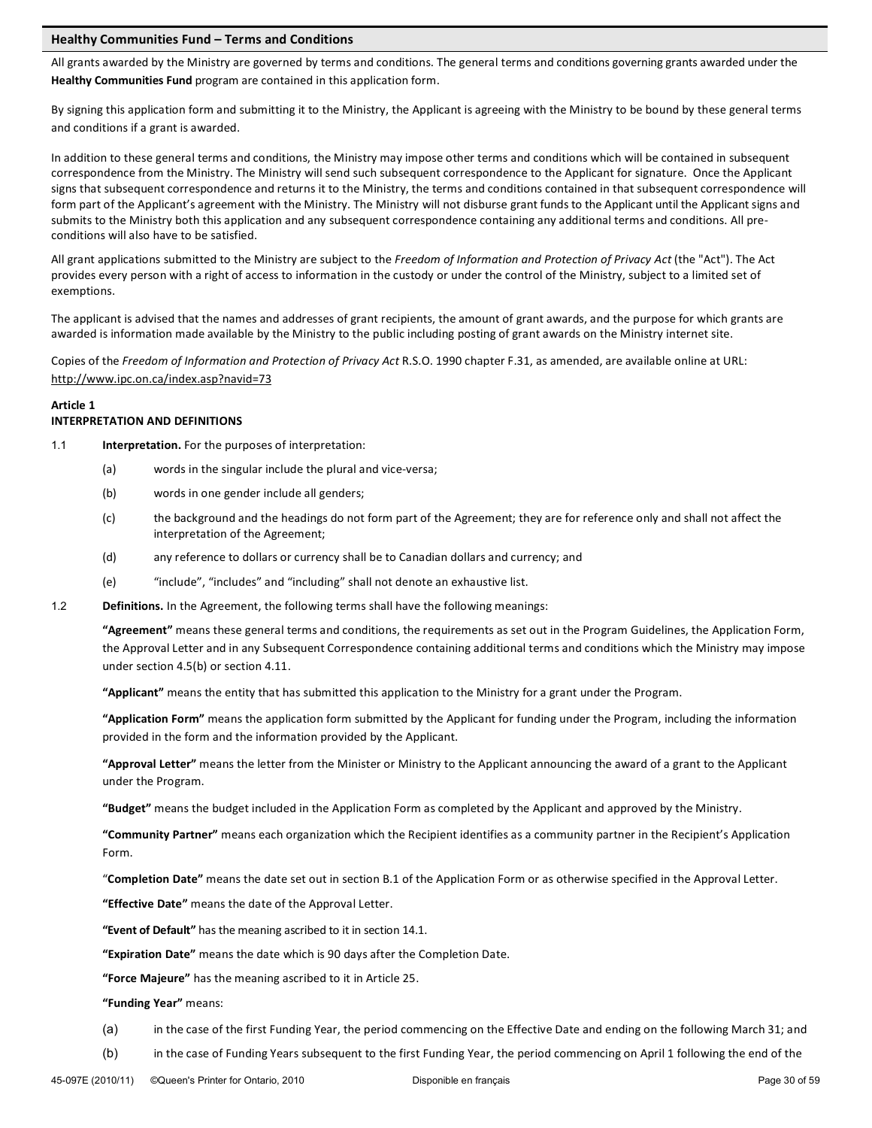## Healthy Communities Fund - Terms and Conditions

All grants awarded by the Ministry are governed by terms and conditions. The general terms and conditions governing grants awarded under the **Healthy Communities Fund** program are contained in this application form.

By signing this application form and submitting it to the Ministry, the Applicant is agreeing with the Ministry to be bound by these general terms and conditions if a grant is awarded.

In addition to these general terms and conditions, the Ministry may impose other terms and conditions which will be contained in subsequent correspondence from the Ministry. The Ministry will send such subsequent correspondence to the Applicant for signature. Once the Applicant signs that subsequent correspondence and returns it to the Ministry, the terms and conditions contained in that subsequent correspondence will form part of the Applicant's agreement with the Ministry. The Ministry will not disburse grant funds to the Applicant until the Applicant signs and submits to the Ministry both this application and any subsequent correspondence containing any additional terms and conditions. All preconditions will also have to be satisfied.

All grant applications submitted to the Ministry are subject to the *Freedom of Information and Protection of Privacy Act* (the "Act"). The Act provides every person with a right of access to information in the custody or under the control of the Ministry, subject to a limited set of exemptions.

The applicant is advised that the names and addresses of grant recipients, the amount of grant awards, and the purpose for which grants are awarded is information made available by the Ministry to the public including posting of grant awards on the Ministry internet site.

Copies of the *Freedom of Information and Protection of Privacy Act* R.S.O. 1990 chapter F.31, as amended, are available online at URL: http://www.ipc.on.ca/index.asp?navid=73

## **Article 1 INTERPRETATION AND DEFINITIONS**

- 1.1 **Interpretation.** For the purposes of interpretation:
	- (a) words in the singular include the plural and vice-versa;
	- (b) words in one gender include all genders;
	- (c) the background and the headings do not form part of the Agreement; they are for reference only and shall not affect the interpretation of the Agreement;
	- (d) any reference to dollars or currency shall be to Canadian dollars and currency; and
	- (e) "include", "includes" and "including" shall not denote an exhaustive list.
- 1.2 **Definitions.** In the Agreement, the following terms shall have the following meanings:

"Agreement" means these general terms and conditions, the requirements as set out in the Program Guidelines, the Application Form, the Approval Letter and in any Subsequent Correspondence containing additional terms and conditions which the Ministry may impose under section  $4.5(b)$  or section  $4.11$ .

"Applicant" means the entity that has submitted this application to the Ministry for a grant under the Program.

"Application Form" means the application form submitted by the Applicant for funding under the Program, including the information provided in the form and the information provided by the Applicant.

"Approval Letter" means the letter from the Minister or Ministry to the Applicant announcing the award of a grant to the Applicant under the Program.

"Budget" means the budget included in the Application Form as completed by the Applicant and approved by the Ministry.

"Community Partner" means each organization which the Recipient identifies as a community partner in the Recipient's Application Form.

"Completion Date" means the date set out in section B.1 of the Application Form or as otherwise specified in the Approval Letter.

"Effective Date" means the date of the Approval Letter.

"Event of Default" has the meaning ascribed to it in section 14.1.

"Expiration Date" means the date which is 90 days after the Completion Date.

"Force Majeure" has the meaning ascribed to it in Article 25.

"Funding Year" means:

- (a) in the case of the first Funding Year, the period commencing on the Effective Date and ending on the following March 31; and
- (b) in the case of Funding Years subsequent to the first Funding Year, the period commencing on April 1 following the end of the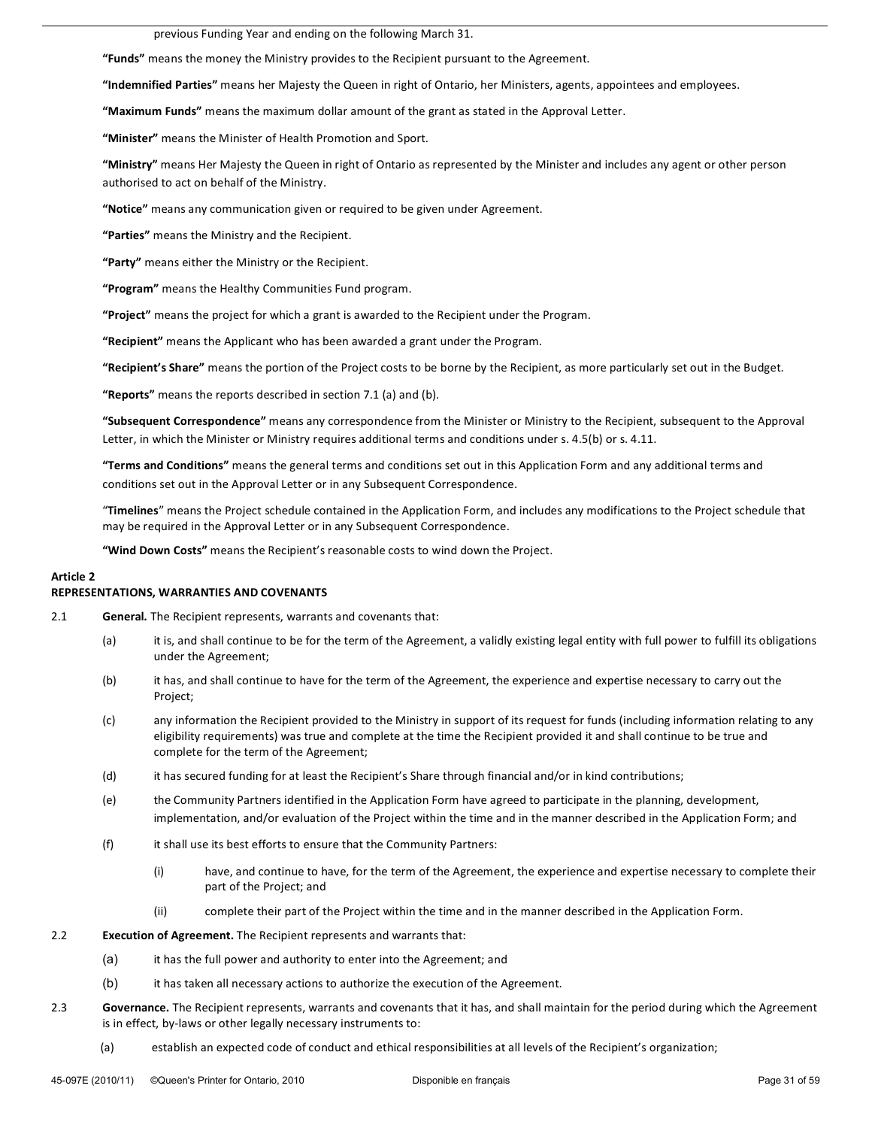previous Funding Year and ending on the following March 31.

**"Funds"** means the money the Ministry provides to the Recipient pursuant to the Agreement.

"Indemnified Parties" means her Majesty the Queen in right of Ontario, her Ministers, agents, appointees and employees.

"Maximum Funds" means the maximum dollar amount of the grant as stated in the Approval Letter.

"Minister" means the Minister of Health Promotion and Sport.

"Ministry" means Her Majesty the Queen in right of Ontario as represented by the Minister and includes any agent or other person authorised to act on behalf of the Ministry.

"Notice" means any communication given or required to be given under Agreement.

"Parties" means the Ministry and the Recipient.

"Party" means either the Ministry or the Recipient.

"Program" means the Healthy Communities Fund program.

"Project" means the project for which a grant is awarded to the Recipient under the Program.

"Recipient" means the Applicant who has been awarded a grant under the Program.

"Recipient's Share" means the portion of the Project costs to be borne by the Recipient, as more particularly set out in the Budget.

"Reports" means the reports described in section 7.1 (a) and (b).

"Subsequent Correspondence" means any correspondence from the Minister or Ministry to the Recipient, subsequent to the Approval Letter, in which the Minister or Ministry requires additional terms and conditions under s. 4.5(b) or s. 4.11.

"Terms and Conditions" means the general terms and conditions set out in this Application Form and any additional terms and conditions set out in the Approval Letter or in any Subsequent Correspondence.

"Timelines" means the Project schedule contained in the Application Form, and includes any modifications to the Project schedule that may be required in the Approval Letter or in any Subsequent Correspondence.

"Wind Down Costs" means the Recipient's reasonable costs to wind down the Project.

## **Article 2**

## **REPRESENTATIONS, WARRANTIES AND COVENANTS**

- 2.1 **General**. The Recipient represents, warrants and covenants that:
	- (a) it is, and shall continue to be for the term of the Agreement, a validly existing legal entity with full power to fulfill its obligations under the Agreement;
	- (b) it has, and shall continue to have for the term of the Agreement, the experience and expertise necessary to carry out the Project;
	- (c) any information the Recipient provided to the Ministry in support of its request for funds (including information relating to any eligibility requirements) was true and complete at the time the Recipient provided it and shall continue to be true and complete for the term of the Agreement;
	- (d) it has secured funding for at least the Recipient's Share through financial and/or in kind contributions;
	- (e) the Community Partners identified in the Application Form have agreed to participate in the planning, development, implementation, and/or evaluation of the Project within the time and in the manner described in the Application Form; and
	- (f) it shall use its best efforts to ensure that the Community Partners:
		- (i) have, and continue to have, for the term of the Agreement, the experience and expertise necessary to complete their part of the Project; and
		- (ii) complete their part of the Project within the time and in the manner described in the Application Form.

## 2.2 **Execution of Agreement.** The Recipient represents and warrants that:

- (a) it has the full power and authority to enter into the Agreement; and
- (b) it has taken all necessary actions to authorize the execution of the Agreement.
- 2.3 **Governance.** The Recipient represents, warrants and covenants that it has, and shall maintain for the period during which the Agreement is in effect, by-laws or other legally necessary instruments to:
	- (a) establish an expected code of conduct and ethical responsibilities at all levels of the Recipient's organization;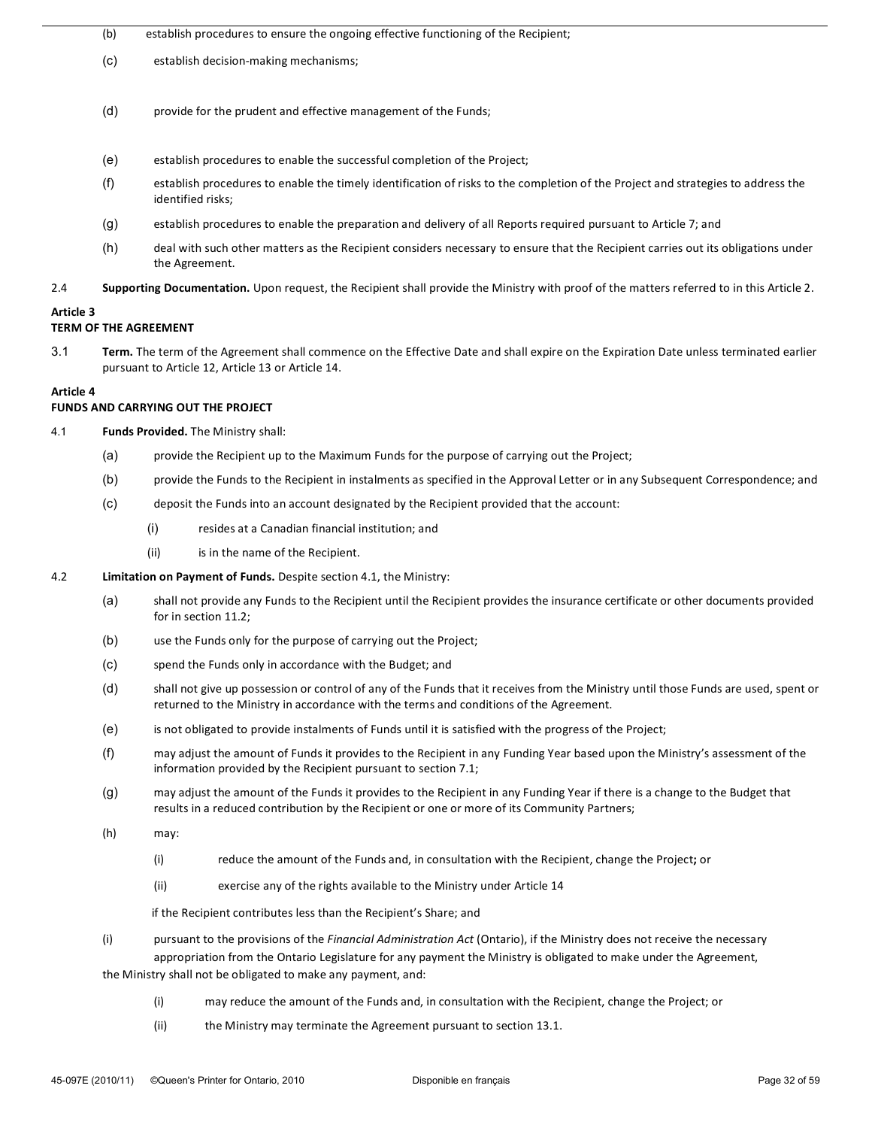#### (b) establish procedures to ensure the ongoing effective functioning of the Recipient;

- (c) establish decision-making mechanisms;
- (d) provide for the prudent and effective management of the Funds;
- (e) establish procedures to enable the successful completion of the Project;
- $(f)$  establish procedures to enable the timely identification of risks to the completion of the Project and strategies to address the identified risks;
- (g) establish procedures to enable the preparation and delivery of all Reports required pursuant to Article 7; and
- (h) deal with such other matters as the Recipient considers necessary to ensure that the Recipient carries out its obligations under the Agreement.
- 2.4 **Supporting Documentation.** Upon request, the Recipient shall provide the Ministry with proof of the matters referred to in this Article 2.

#### Article<sub>3</sub>

## **TERM OF THE AGREEMENT**

3.1 Term. The term of the Agreement shall commence on the Effective Date and shall expire on the Expiration Date unless terminated earlier pursuant to Article 12, Article 13 or Article 14.

## **Article 4**

## **FUNDS AND CARRYING OUT THE PROJECT**

- 4.1 **Funds Provided.** The Ministry shall:
	- (a) provide the Recipient up to the Maximum Funds for the purpose of carrying out the Project;
	- (b) provide the Funds to the Recipient in instalments as specified in the Approval Letter or in any Subsequent Correspondence; and
	- (c) deposit the Funds into an account designated by the Recipient provided that the account:
		- $(i)$  resides at a Canadian financial institution; and
		- (ii) is in the name of the Recipient.
- 4.2 **Limitation on Payment of Funds.** Despite section 4.1, the Ministry:
	- (a) shall not provide any Funds to the Recipient until the Recipient provides the insurance certificate or other documents provided for in section 11.2;
	- (b) use the Funds only for the purpose of carrying out the Project;
	- (c) spend the Funds only in accordance with the Budget; and
	- (d) shall not give up possession or control of any of the Funds that it receives from the Ministry until those Funds are used, spent or returned to the Ministry in accordance with the terms and conditions of the Agreement.
	- (e) is not obligated to provide instalments of Funds until it is satisfied with the progress of the Project;
	- (f) may adjust the amount of Funds it provides to the Recipient in any Funding Year based upon the Ministry's assessment of the information provided by the Recipient pursuant to section 7.1;
	- (g) may adjust the amount of the Funds it provides to the Recipient in any Funding Year if there is a change to the Budget that results in a reduced contribution by the Recipient or one or more of its Community Partners;
	- (h) may:
		- (i) reduce the amount of the Funds and, in consultation with the Recipient, change the Project; or
		- (ii) exercise any of the rights available to the Ministry under Article 14

if the Recipient contributes less than the Recipient's Share; and

(i) pursuant to the provisions of the *Financial Administration Act* (Ontario), if the Ministry does not receive the necessary appropriation from the Ontario Legislature for any payment the Ministry is obligated to make under the Agreement,

the Ministry shall not be obligated to make any payment, and:

- (i) may reduce the amount of the Funds and, in consultation with the Recipient, change the Project; or
- (ii) the Ministry may terminate the Agreement pursuant to section 13.1.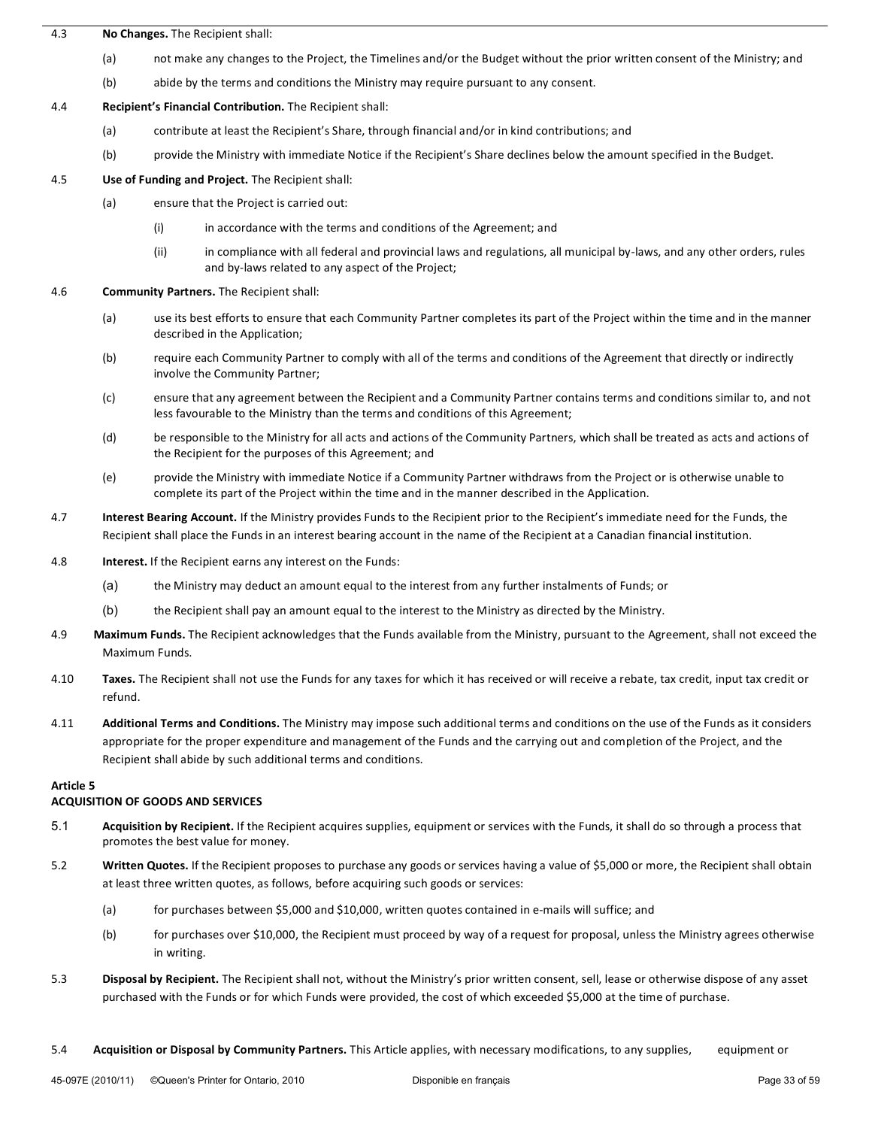## 4.3 **No Changes.** The Recipient shall:

- (a) not make any changes to the Project, the Timelines and/or the Budget without the prior written consent of the Ministry; and
- (b) abide by the terms and conditions the Ministry may require pursuant to any consent.

## 4.4 **Recipient's Financial Contribution.** The Recipient shall:

- (a) contribute at least the Recipient's Share, through financial and/or in kind contributions; and
- (b) provide the Ministry with immediate Notice if the Recipient's Share declines below the amount specified in the Budget.

## 4.5 **Use of Funding and Project.** The Recipient shall:

- (a) ensure that the Project is carried out:
	- (i) in accordance with the terms and conditions of the Agreement; and
	- (ii) in compliance with all federal and provincial laws and regulations, all municipal by-laws, and any other orders, rules and by-laws related to any aspect of the Project;
- 4.6 **Community Partners.** The Recipient shall:
	- (a) use its best efforts to ensure that each Community Partner completes its part of the Project within the time and in the manner described in the Application;
	- (b) require each Community Partner to comply with all of the terms and conditions of the Agreement that directly or indirectly involve the Community Partner;
	- (c) ensure that any agreement between the Recipient and a Community Partner contains terms and conditions similar to, and not less favourable to the Ministry than the terms and conditions of this Agreement;
	- (d) be responsible to the Ministry for all acts and actions of the Community Partners, which shall be treated as acts and actions of the Recipient for the purposes of this Agreement; and
	- (e) provide the Ministry with immediate Notice if a Community Partner withdraws from the Project or is otherwise unable to complete its part of the Project within the time and in the manner described in the Application.
- 4.7 **Interest Bearing Account.** If the Ministry provides Funds to the Recipient prior to the Recipient's immediate need for the Funds, the Recipient shall place the Funds in an interest bearing account in the name of the Recipient at a Canadian financial institution.
- 4.8 **Interest.** If the Recipient earns any interest on the Funds:
	- (a) the Ministry may deduct an amount equal to the interest from any further instalments of Funds; or
	- (b) the Recipient shall pay an amount equal to the interest to the Ministry as directed by the Ministry.
- 4.9 Maximum Funds. The Recipient acknowledges that the Funds available from the Ministry, pursuant to the Agreement, shall not exceed the Maximum Funds.
- 4.10 Taxes. The Recipient shall not use the Funds for any taxes for which it has received or will receive a rebate, tax credit, input tax credit or refund.
- 4.11 **Additional Terms and Conditions.** The Ministry may impose such additional terms and conditions on the use of the Funds as it considers appropriate for the proper expenditure and management of the Funds and the carrying out and completion of the Project, and the Recipient shall abide by such additional terms and conditions.

## Article<sub>5</sub>

## **ACQUISITION OF GOODS AND SERVICES**

- 5.1 **Acquisition by Recipient.** If the Recipient acquires supplies, equipment or services with the Funds, it shall do so through a process that promotes the best value for money.
- 5.2 **Written Quotes.** If the Recipient proposes to purchase any goods or services having a value of \$5,000 or more, the Recipient shall obtain at least three written quotes, as follows, before acquiring such goods or services:
	- (a) for purchases between \$5,000 and \$10,000, written quotes contained in e-mails will suffice; and
	- (b) for purchases over \$10,000, the Recipient must proceed by way of a request for proposal, unless the Ministry agrees otherwise in writing.
- 5.3 **Disposal by Recipient.** The Recipient shall not, without the Ministry's prior written consent, sell, lease or otherwise dispose of any asset purchased with the Funds or for which Funds were provided, the cost of which exceeded \$5,000 at the time of purchase.
- 5.4 **Acquisition or Disposal by Community Partners.** This Article applies, with necessary modifications, to any supplies, equipment or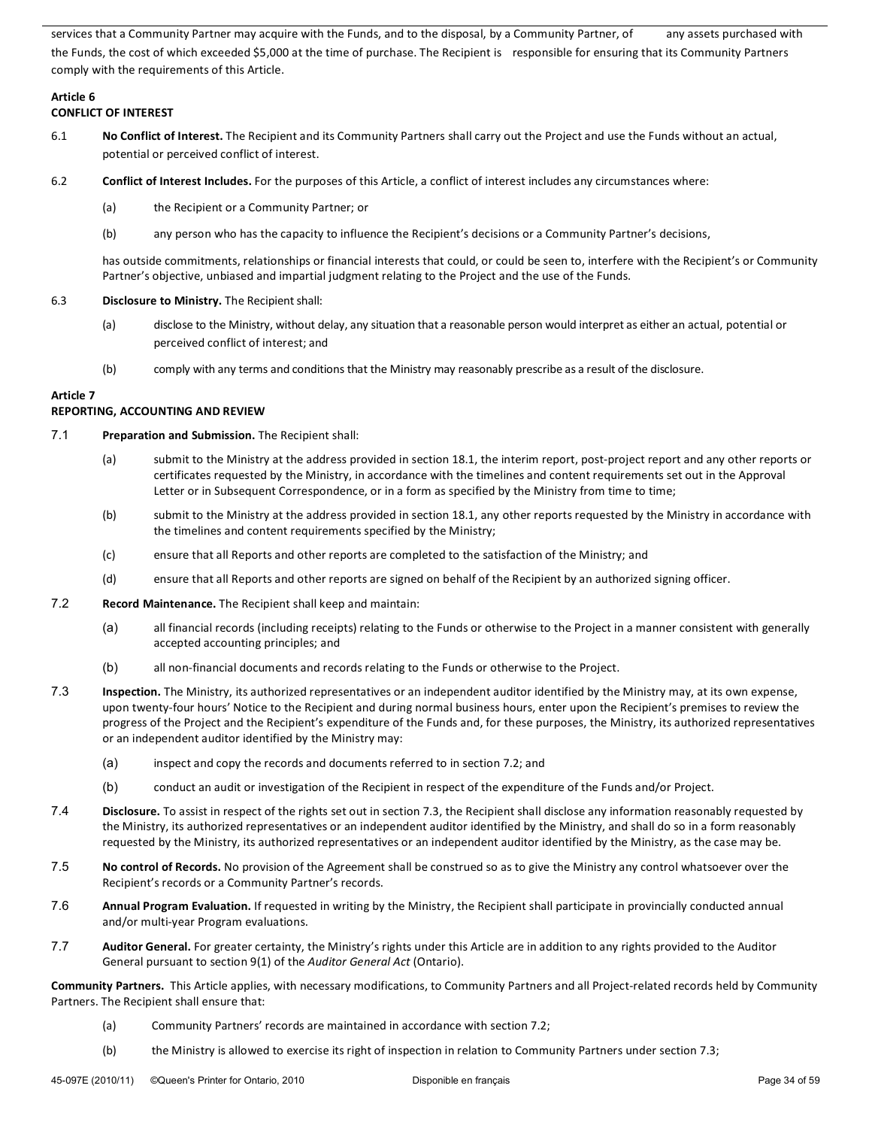services that a Community Partner may acquire with the Funds, and to the disposal, by a Community Partner, of any assets purchased with the Funds, the cost of which exceeded \$5,000 at the time of purchase. The Recipient is responsible for ensuring that its Community Partners comply with the requirements of this Article.

## Article 6

## **CONFLICT OF INTEREST**

- 6.1 **No Conflict of Interest.** The Recipient and its Community Partners shall carry out the Project and use the Funds without an actual, potential or perceived conflict of interest.
- 6.2 **Conflict of Interest Includes.** For the purposes of this Article, a conflict of interest includes any circumstances where:
	- (a) the Recipient or a Community Partner; or
	- (b) any person who has the capacity to influence the Recipient's decisions or a Community Partner's decisions,

has outside commitments, relationships or financial interests that could, or could be seen to, interfere with the Recipient's or Community Partner's objective, unbiased and impartial judgment relating to the Project and the use of the Funds.

## 6.3 **Disclosure to Ministry.** The Recipient shall:

- (a) disclose to the Ministry, without delay, any situation that a reasonable person would interpret as either an actual, potential or perceived conflict of interest; and
- (b) comply with any terms and conditions that the Ministry may reasonably prescribe as a result of the disclosure.

## **Article 7**

## **REPORTING, ACCOUNTING AND REVIEW**

## 7.1 **Preparation and Submission.** The Recipient shall:

- (a) submit to the Ministry at the address provided in section 18.1, the interim report, post-project report and any other reports or certificates requested by the Ministry, in accordance with the timelines and content requirements set out in the Approval Letter or in Subsequent Correspondence, or in a form as specified by the Ministry from time to time;
- (b) submit to the Ministry at the address provided in section 18.1, any other reports requested by the Ministry in accordance with the timelines and content requirements specified by the Ministry;
- (c) ensure that all Reports and other reports are completed to the satisfaction of the Ministry; and
- (d) ensure that all Reports and other reports are signed on behalf of the Recipient by an authorized signing officer.
- 7.2 **Record Maintenance.** The Recipient shall keep and maintain:
	- (a) all financial records (including receipts) relating to the Funds or otherwise to the Project in a manner consistent with generally accepted accounting principles; and
	- (b) all non-financial documents and records relating to the Funds or otherwise to the Project.
- 7.3 **Inspection.** The Ministry, its authorized representatives or an independent auditor identified by the Ministry may, at its own expense, upon twenty-four hours' Notice to the Recipient and during normal business hours, enter upon the Recipient's premises to review the progress of the Project and the Recipient's expenditure of the Funds and, for these purposes, the Ministry, its authorized representatives or an independent auditor identified by the Ministry may:
	- (a) inspect and copy the records and documents referred to in section 7.2; and
	- (b) conduct an audit or investigation of the Recipient in respect of the expenditure of the Funds and/or Project.
- 7.4 **Disclosure.** To assist in respect of the rights set out in section 7.3, the Recipient shall disclose any information reasonably requested by the Ministry, its authorized representatives or an independent auditor identified by the Ministry, and shall do so in a form reasonably requested by the Ministry, its authorized representatives or an independent auditor identified by the Ministry, as the case may be.
- 7.5 **No control of Records.** No provision of the Agreement shall be construed so as to give the Ministry any control whatsoever over the Recipient's records or a Community Partner's records.
- 7.6 **Annual Program Evaluation.** If requested in writing by the Ministry, the Recipient shall participate in provincially conducted annual and/or multi-year Program evaluations.
- 7.7 **Auditor General.** For greater certainty, the Ministry's rights under this Article are in addition to any rights provided to the Auditor General pursuant to section 9(1) of the *Auditor General Act* (Ontario).

Community Partners. This Article applies, with necessary modifications, to Community Partners and all Project-related records held by Community Partners. The Recipient shall ensure that:

- (a) Community Partners' records are maintained in accordance with section 7.2;
- (b) the Ministry is allowed to exercise its right of inspection in relation to Community Partners under section 7.3;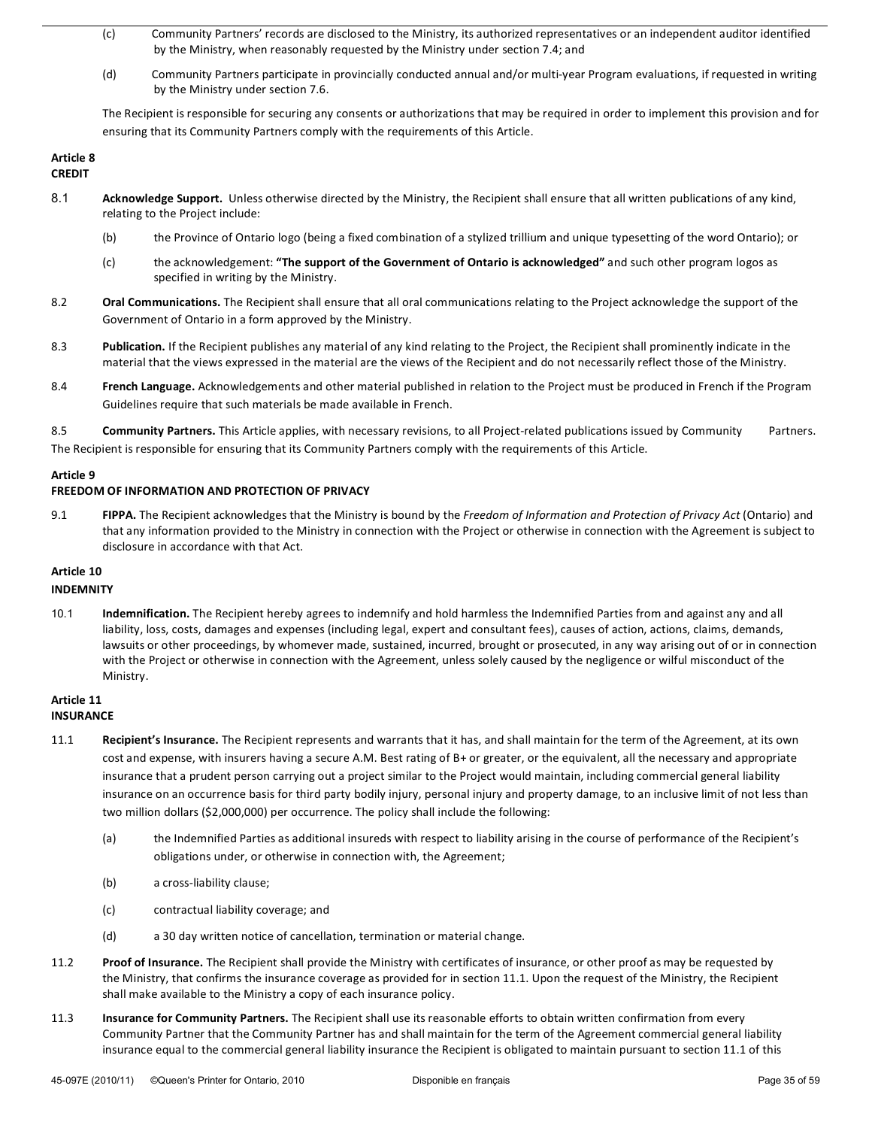- (c) Community Partners' records are disclosed to the Ministry, its authorized representatives or an independent auditor identified by the Ministry, when reasonably requested by the Ministry under section 7.4; and
- (d) Community Partners participate in provincially conducted annual and/or multi-year Program evaluations, if requested in writing by the Ministry under section 7.6.

The Recipient is responsible for securing any consents or authorizations that may be required in order to implement this provision and for ensuring that its Community Partners comply with the requirements of this Article.

#### Article 8 **CREDIT**

- 8.1 **Acknowledge Support.** Unless otherwise directed by the Ministry, the Recipient shall ensure that all written publications of any kind, relating to the Project include:
	- (b) the Province of Ontario logo (being a fixed combination of a stylized trillium and unique typesetting of the word Ontario); or
	- (c) the acknowledgement: "The support of the Government of Ontario is acknowledged" and such other program logos as specified in writing by the Ministry.
- 8.2 **Oral Communications.** The Recipient shall ensure that all oral communications relating to the Project acknowledge the support of the Government of Ontario in a form approved by the Ministry.
- 8.3 **Publication.** If the Recipient publishes any material of any kind relating to the Project, the Recipient shall prominently indicate in the material that the views expressed in the material are the views of the Recipient and do not necessarily reflect those of the Ministry.
- 8.4 **French Language.** Acknowledgements and other material published in relation to the Project must be produced in French if the Program Guidelines require that such materials be made available in French.

8.5 **Community Partners.** This Article applies, with necessary revisions, to all Project-related publications issued by Community Partners. The Recipient is responsible for ensuring that its Community Partners comply with the requirements of this Article.

## **Article(9**

## **FREEDOM OF INFORMATION AND PROTECTION OF PRIVACY**

9.1 **FIPPA.** The Recipient acknowledges that the Ministry is bound by the *Freedom of Information and Protection of Privacy Act* (Ontario) and that any information provided to the Ministry in connection with the Project or otherwise in connection with the Agreement is subject to disclosure in accordance with that Act.

## **Article 10**

## **INDEMNITY**

10.1 **Indemnification.** The Recipient hereby agrees to indemnify and hold harmless the Indemnified Parties from and against any and all liability, loss, costs, damages and expenses (including legal, expert and consultant fees), causes of action, actions, claims, demands, lawsuits or other proceedings, by whomever made, sustained, incurred, brought or prosecuted, in any way arising out of or in connection with the Project or otherwise in connection with the Agreement, unless solely caused by the negligence or wilful misconduct of the Ministry.

## **Article 11 INSURANCE**

- 11.1 **Recipient's Insurance.** The Recipient represents and warrants that it has, and shall maintain for the term of the Agreement, at its own cost and expense, with insurers having a secure A.M. Best rating of B+ or greater, or the equivalent, all the necessary and appropriate insurance that a prudent person carrying out a project similar to the Project would maintain, including commercial general liability insurance on an occurrence basis for third party bodily injury, personal injury and property damage, to an inclusive limit of not less than two million dollars (\$2,000,000) per occurrence. The policy shall include the following:
	- (a) the Indemnified Parties as additional insureds with respect to liability arising in the course of performance of the Recipient's obligations under, or otherwise in connection with, the Agreement;
	- (b) a cross-liability clause;
	- (c) contractual liability coverage; and
	- (d) a 30 day written notice of cancellation, termination or material change.
- 11.2 **Proof of Insurance.** The Recipient shall provide the Ministry with certificates of insurance, or other proof as may be requested by the Ministry, that confirms the insurance coverage as provided for in section 11.1. Upon the request of the Ministry, the Recipient shall make available to the Ministry a copy of each insurance policy.
- 11.3 **Insurance for Community Partners.** The Recipient shall use its reasonable efforts to obtain written confirmation from every Community Partner that the Community Partner has and shall maintain for the term of the Agreement commercial general liability insurance equal to the commercial general liability insurance the Recipient is obligated to maintain pursuant to section 11.1 of this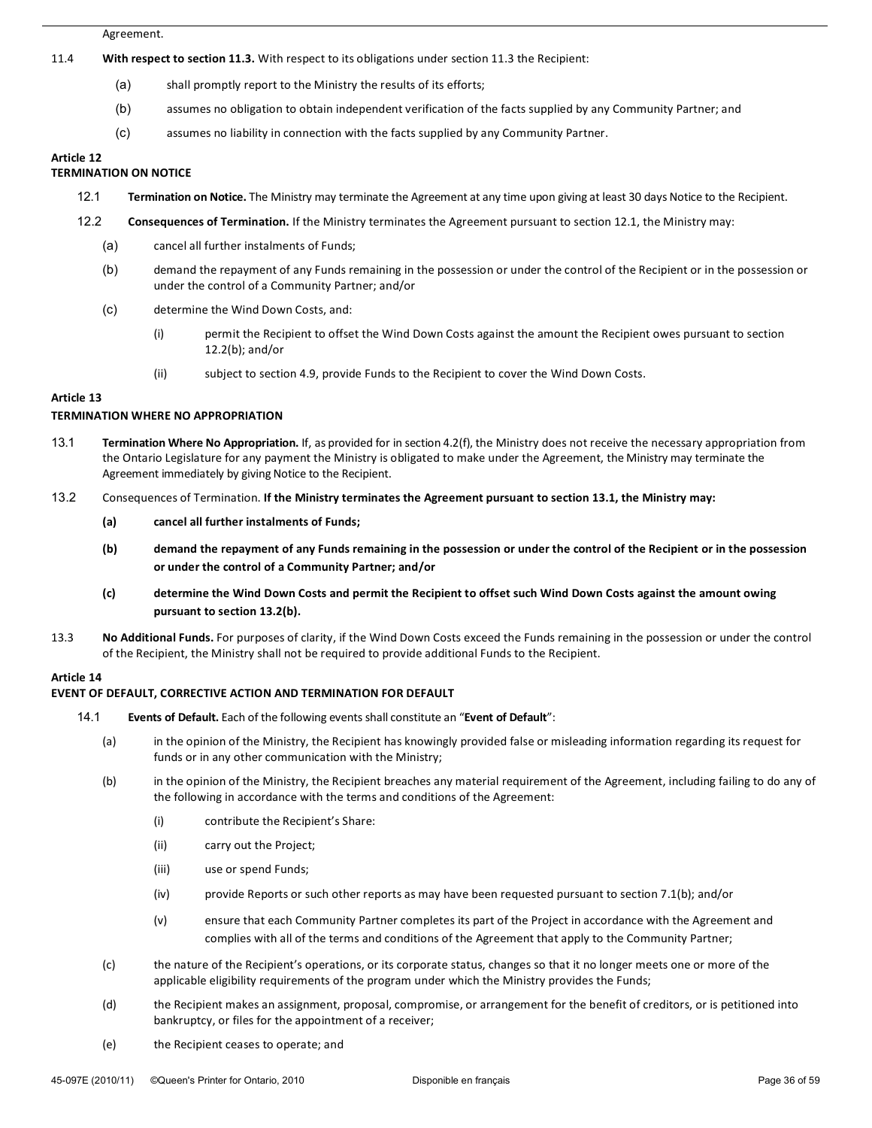#### Agreement.

#### 11.4 **With respect to section 11.3.** With respect to its obligations under section 11.3 the Recipient:

- (a) shall promptly report to the Ministry the results of its efforts;
- (b) assumes no obligation to obtain independent verification of the facts supplied by any Community Partner; and
- (c) assumes no liability in connection with the facts supplied by any Community Partner.

## **Article 12**

## **TERMINATION ON NOTICE**

- 12.1 **Termination on Notice.** The Ministry may terminate the Agreement at any time upon giving at least 30 days Notice to the Recipient.
- 12.2 **Consequences of Termination.** If the Ministry terminates the Agreement pursuant to section 12.1, the Ministry may:
	- (a) cancel all further instalments of Funds;
	- (b) demand the repayment of any Funds remaining in the possession or under the control of the Recipient or in the possession or under the control of a Community Partner; and/or
	- (c) determine the Wind Down Costs, and:
		- (i) permit the Recipient to offset the Wind Down Costs against the amount the Recipient owes pursuant to section  $12.2(b)$ ; and/or
		- (ii) subject to section 4.9, provide Funds to the Recipient to cover the Wind Down Costs.

#### Article 13

## **TERMINATION WHERE NO APPROPRIATION**

- 13.1 **Termination Where No Appropriation.** If, as provided for in section 4.2(f), the Ministry does not receive the necessary appropriation from the Ontario Legislature for any payment the Ministry is obligated to make under the Agreement, the Ministry may terminate the Agreement immediately by giving Notice to the Recipient.
- 13.2 Consequences of Termination. If the Ministry terminates the Agreement pursuant to section 13.1, the Ministry may:
	- (a) **cancel all further instalments of Funds;**
	- (b) **demand the repayment of any Funds remaining in the possession or under the control of the Recipient or in the possession** or under the control of a Community Partner; and/or
	- (c) **determine the Wind Down Costs and permit the Recipient to offset such Wind Down Costs against the amount owing** pursuant to section 13.2(b).
- 13.3 No Additional Funds. For purposes of clarity, if the Wind Down Costs exceed the Funds remaining in the possession or under the control of the Recipient, the Ministry shall not be required to provide additional Funds to the Recipient.

## **Article 14**

## **EVENT OF DEFAULT, CORRECTIVE ACTION AND TERMINATION FOR DEFAULT**

- 14.1 **Events of Default.** Each of the following events shall constitute an "**Event of Default**":
	- (a) in the opinion of the Ministry, the Recipient has knowingly provided false or misleading information regarding its request for funds or in any other communication with the Ministry;
	- (b) in the opinion of the Ministry, the Recipient breaches any material requirement of the Agreement, including failing to do any of the following in accordance with the terms and conditions of the Agreement:
		- (i) contribute the Recipient's Share:
		- (ii) carry out the Project;
		- (iii) use or spend Funds;
		- (iv) provide Reports or such other reports as may have been requested pursuant to section 7.1(b); and/or
		- (v) ensure that each Community Partner completes its part of the Project in accordance with the Agreement and complies with all of the terms and conditions of the Agreement that apply to the Community Partner;
	- (c) the nature of the Recipient's operations, or its corporate status, changes so that it no longer meets one or more of the applicable eligibility requirements of the program under which the Ministry provides the Funds;
	- (d) the Recipient makes an assignment, proposal, compromise, or arrangement for the benefit of creditors, or is petitioned into bankruptcy, or files for the appointment of a receiver;
	- (e) the Recipient ceases to operate; and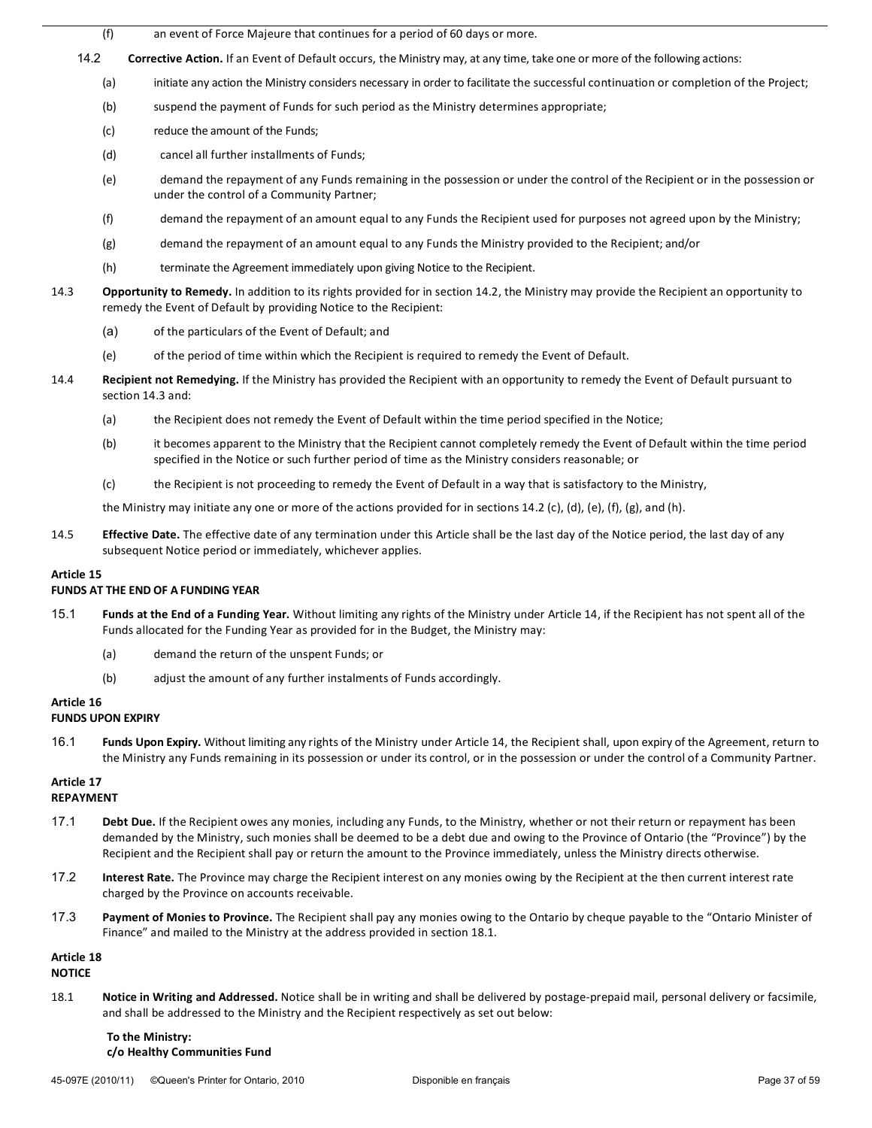- (f) an event of Force Majeure that continues for a period of 60 days or more.
- 14.2 **Corrective Action.** If an Event of Default occurs, the Ministry may, at any time, take one or more of the following actions:
	- (a) initiate any action the Ministry considers necessary in order to facilitate the successful continuation or completion of the Project;
	- (b) suspend the payment of Funds for such period as the Ministry determines appropriate;
	- (c) reduce the amount of the Funds;
	- (d) cancel all further installments of Funds;
	- (e) demand the repayment of any Funds remaining in the possession or under the control of the Recipient or in the possession or under the control of a Community Partner;
	- (f) demand the repayment of an amount equal to any Funds the Recipient used for purposes not agreed upon by the Ministry;
	- (g) demand the repayment of an amount equal to any Funds the Ministry provided to the Recipient; and/or
	- (h) terminate the Agreement immediately upon giving Notice to the Recipient.
- 14.3 **Opportunity to Remedy.** In addition to its rights provided for in section 14.2, the Ministry may provide the Recipient an opportunity to remedy the Event of Default by providing Notice to the Recipient:
	- (a) of the particulars of the Event of Default; and
	- (e) of the period of time within which the Recipient is required to remedy the Event of Default.
- 14.4 **Recipient not Remedying.** If the Ministry has provided the Recipient with an opportunity to remedy the Event of Default pursuant to section 14.3 and:
	- (a) the Recipient does not remedy the Event of Default within the time period specified in the Notice;
	- (b) it becomes apparent to the Ministry that the Recipient cannot completely remedy the Event of Default within the time period specified in the Notice or such further period of time as the Ministry considers reasonable; or
	- (c) the Recipient is not proceeding to remedy the Event of Default in a way that is satisfactory to the Ministry,

the Ministry may initiate any one or more of the actions provided for in sections 14.2 (c), (d), (e), (f), (g), and (h).

14.5 **Effective Date.** The effective date of any termination under this Article shall be the last day of the Notice period, the last day of any subsequent Notice period or immediately, whichever applies.

## Article 15

## **FUNDS AT THE END OF A FUNDING YEAR**

- 15.1 **Funds at the End of a Funding Year.** Without limiting any rights of the Ministry under Article 14, if the Recipient has not spent all of the Funds allocated for the Funding Year as provided for in the Budget, the Ministry may:
	- (a) demand the return of the unspent Funds; or
	- (b) adjust the amount of any further instalments of Funds accordingly.
- Article 16

## **FUNDS UPON EXPIRY**

16.1 **Funds Upon Expiry.** Without limiting any rights of the Ministry under Article 14, the Recipient shall, upon expiry of the Agreement, return to the Ministry any Funds remaining in its possession or under its control, or in the possession or under the control of a Community Partner.

# Article 17

## **REPAYMENT(**

- 17.1 **Debt Due.** If the Recipient owes any monies, including any Funds, to the Ministry, whether or not their return or repayment has been demanded by the Ministry, such monies shall be deemed to be a debt due and owing to the Province of Ontario (the "Province") by the Recipient and the Recipient shall pay or return the amount to the Province immediately, unless the Ministry directs otherwise.
- 17.2 **Interest Rate.** The Province may charge the Recipient interest on any monies owing by the Recipient at the then current interest rate charged by the Province on accounts receivable.
- 17.3 Payment of Monies to Province. The Recipient shall pay any monies owing to the Ontario by cheque payable to the "Ontario Minister of Finance" and mailed to the Ministry at the address provided in section 18.1.

## Article 18

## **NOTICE**

18.1 **Notice in Writing and Addressed.** Notice shall be in writing and shall be delivered by postage-prepaid mail, personal delivery or facsimile, and shall be addressed to the Ministry and the Recipient respectively as set out below:

## **To the Ministry:** c/o Healthy Communities Fund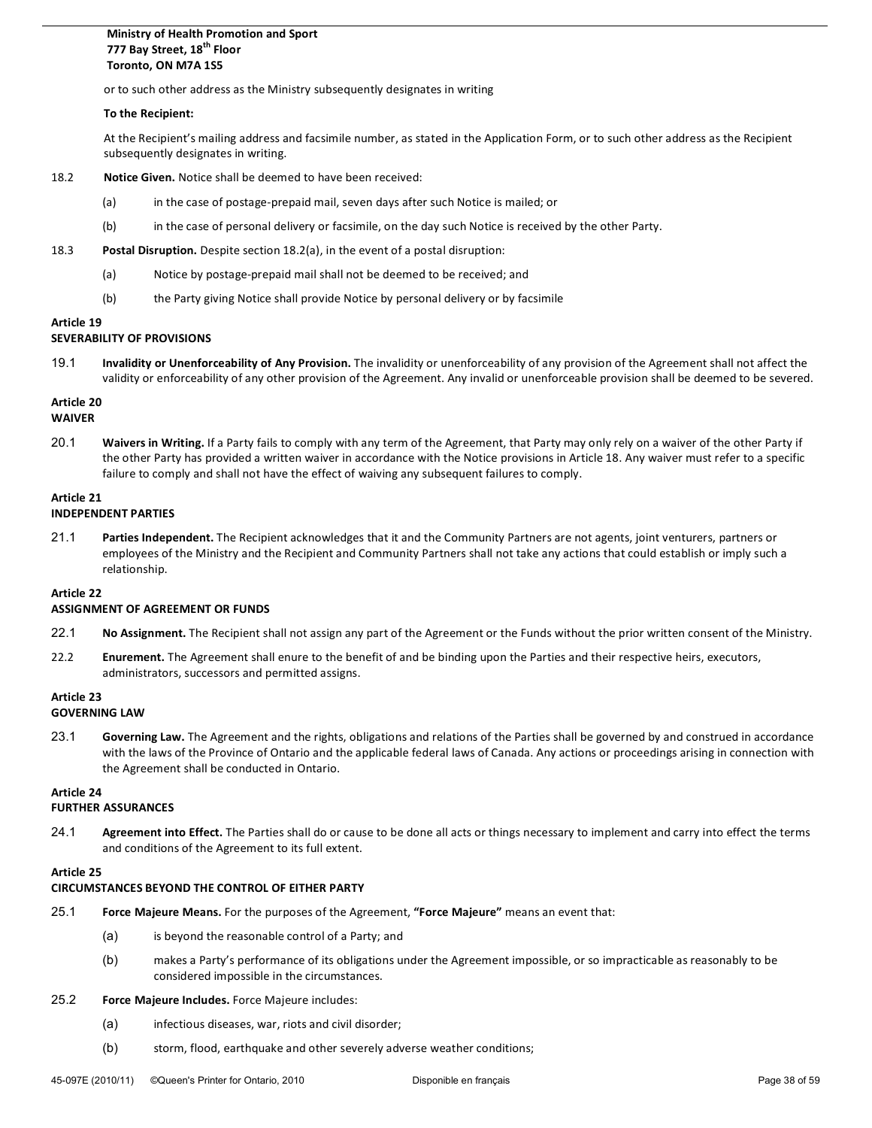## **Ministry of Health Promotion and Sport** 777 Bay Street, 18<sup>th</sup> Floor Toronto, ON M7A 1S5

or to such other address as the Ministry subsequently designates in writing

#### **To the Recipient:**

At the Recipient's mailing address and facsimile number, as stated in the Application Form, or to such other address as the Recipient subsequently designates in writing.

- 18.2 **Notice Given.** Notice shall be deemed to have been received:
	- (a) in the case of postage-prepaid mail, seven days after such Notice is mailed; or
	- (b) in the case of personal delivery or facsimile, on the day such Notice is received by the other Party.
- 18.3 **Postal Disruption.** Despite section 18.2(a), in the event of a postal disruption:
	- (a) Notice by postage-prepaid mail shall not be deemed to be received; and
	- (b) the Party giving Notice shall provide Notice by personal delivery or by facsimile

#### **Article 19**

#### **SEVERABILITY OF PROVISIONS**

19.1 **Invalidity or Unenforceability of Any Provision.** The invalidity or unenforceability of any provision of the Agreement shall not affect the validity or enforceability of any other provision of the Agreement. Any invalid or unenforceable provision shall be deemed to be severed.

## Article 20

## **WAIVER**

20.1 Waivers in Writing. If a Party fails to comply with any term of the Agreement, that Party may only rely on a waiver of the other Party if the other Party has provided a written waiver in accordance with the Notice provisions in Article 18. Any waiver must refer to a specific failure to comply and shall not have the effect of waiving any subsequent failures to comply.

#### Article 21

#### **INDEPENDENT(PARTIES**

21.1 Parties Independent. The Recipient acknowledges that it and the Community Partners are not agents, joint venturers, partners or employees of the Ministry and the Recipient and Community Partners shall not take any actions that could establish or imply such a relationship.

## Article 22

#### **ASSIGNMENT OF AGREEMENT OR FUNDS**

- 22.1 No Assignment. The Recipient shall not assign any part of the Agreement or the Funds without the prior written consent of the Ministry.
- 22.2 **Enurement.** The Agreement shall enure to the benefit of and be binding upon the Parties and their respective heirs, executors, administrators, successors and permitted assigns.

## **Article(23**

## **GOVERNING LAW**

23.1 Governing Law. The Agreement and the rights, obligations and relations of the Parties shall be governed by and construed in accordance with the laws of the Province of Ontario and the applicable federal laws of Canada. Any actions or proceedings arising in connection with the Agreement shall be conducted in Ontario.

## **Article 24**

## **FURTHER ASSURANCES**

24.1 **Agreement into Effect.** The Parties shall do or cause to be done all acts or things necessary to implement and carry into effect the terms and conditions of the Agreement to its full extent.

## Article 25

## **CIRCUMSTANCES BEYOND THE CONTROL OF EITHER PARTY**

- 25.1 **Force Majeure Means.** For the purposes of the Agreement, "Force Majeure" means an event that:
	- (a) is beyond the reasonable control of a Party; and
	- (b) makes a Party's performance of its obligations under the Agreement impossible, or so impracticable as reasonably to be considered impossible in the circumstances.

## 25.2 **Force Majeure Includes.** Force Majeure includes:

- (a) infectious diseases, war, riots and civil disorder;
- (b) storm, flood, earthquake and other severely adverse weather conditions;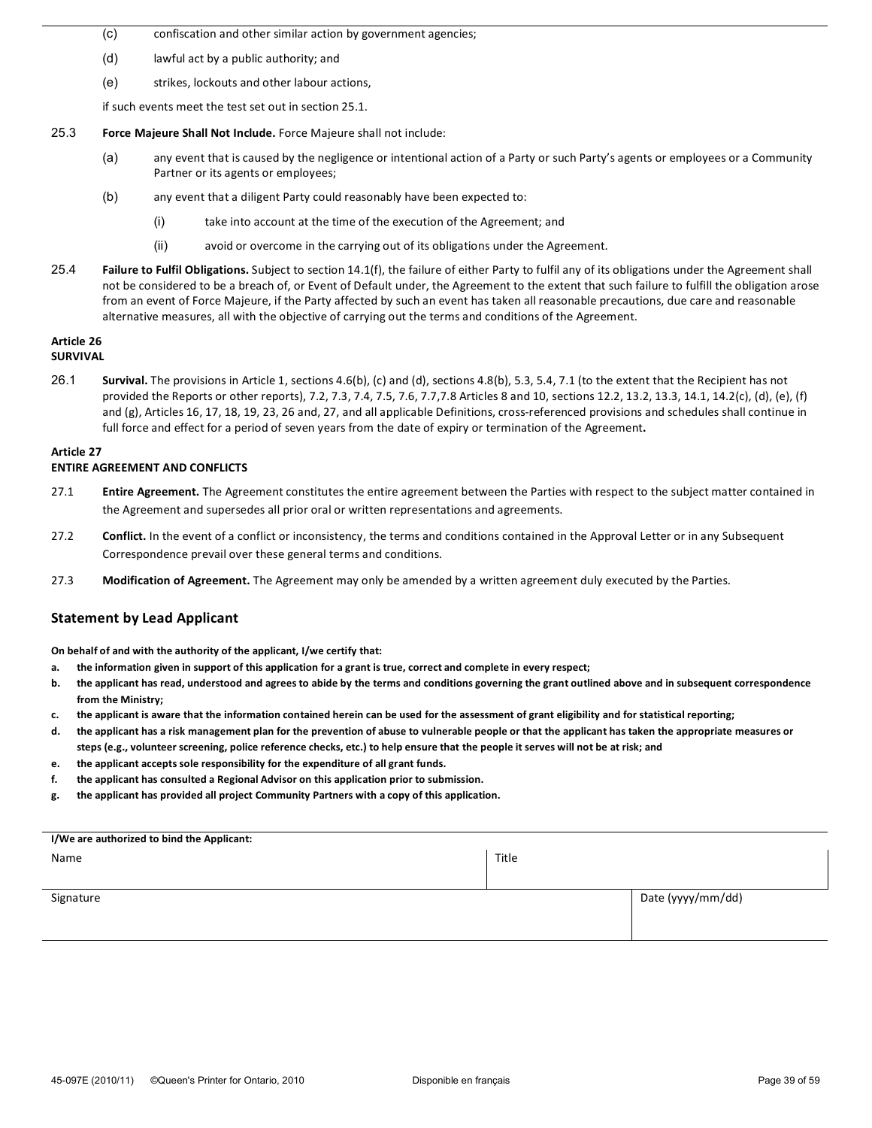- (c) confiscation and other similar action by government agencies;
- (d) lawful act by a public authority; and
- (e) strikes, lockouts and other labour actions,

if such events meet the test set out in section 25.1.

- 25.3 **Force Majeure Shall Not Include.** Force Majeure shall not include:
	- (a) any event that is caused by the negligence or intentional action of a Party or such Party's agents or employees or a Community Partner or its agents or employees;
	- (b) any event that a diligent Party could reasonably have been expected to:
		- (i) take into account at the time of the execution of the Agreement; and
		- $(ii)$  avoid or overcome in the carrying out of its obligations under the Agreement.
- 25.4 **Failure to Fulfil Obligations.** Subject to section 14.1(f), the failure of either Party to fulfil any of its obligations under the Agreement shall not be considered to be a breach of, or Event of Default under, the Agreement to the extent that such failure to fulfill the obligation arose from an event of Force Majeure, if the Party affected by such an event has taken all reasonable precautions, due care and reasonable alternative measures, all with the objective of carrying out the terms and conditions of the Agreement.

# Article 26

## **SURVIVAL(**

26.1 **Survival.** The provisions in Article 1, sections 4.6(b), (c) and (d), sections 4.8(b), 5.3, 5.4, 7.1 (to the extent that the Recipient has not provided the Reports or other reports), 7.2, 7.3, 7.4, 7.5, 7.6, 7.7,7.8 Articles 8 and 10, sections 12.2, 13.2, 13.3, 14.1, 14.2(c), (d), (e), (f) and (g), Articles 16, 17, 18, 19, 23, 26 and, 27, and all applicable Definitions, cross-referenced provisions and schedules shall continue in full force and effect for a period of seven years from the date of expiry or termination of the Agreement.

## Article 27

## **ENTIRE AGREEMENT AND CONFLICTS**

- 27.1 **Entire Agreement.** The Agreement constitutes the entire agreement between the Parties with respect to the subject matter contained in the Agreement and supersedes all prior oral or written representations and agreements.
- 27.2 **Conflict.** In the event of a conflict or inconsistency, the terms and conditions contained in the Approval Letter or in any Subsequent Correspondence prevail over these general terms and conditions.
- 27.3 Modification of Agreement. The Agreement may only be amended by a written agreement duly executed by the Parties.

## **Statement by Lead Applicant**

**On behalf of and with the authority of the applicant, I/we certify that:** 

- a. the information given in support of this application for a grant is true, correct and complete in every respect;
- **b.** the applicant has read, understood and agrees to abide by the terms and conditions governing the grant outlined above and in subsequent correspondence from the Ministry:
- c. the applicant is aware that the information contained herein can be used for the assessment of grant eligibility and for statistical reporting;
- d. the applicant has a risk management plan for the prevention of abuse to vulnerable people or that the applicant has taken the appropriate measures or steps (e.g., volunteer screening, police reference checks, etc.) to help ensure that the people it serves will not be at risk; and
- **e.** the applicant accepts sole responsibility for the expenditure of all grant funds.
- f. the applicant has consulted a Regional Advisor on this application prior to submission.
- g. the applicant has provided all project Community Partners with a copy of this application.

| I/We are authorized to bind the Applicant: |       |                   |
|--------------------------------------------|-------|-------------------|
| Name                                       | Title |                   |
|                                            |       |                   |
|                                            |       |                   |
| Signature                                  |       | Date (yyyy/mm/dd) |
|                                            |       |                   |
|                                            |       |                   |
|                                            |       |                   |